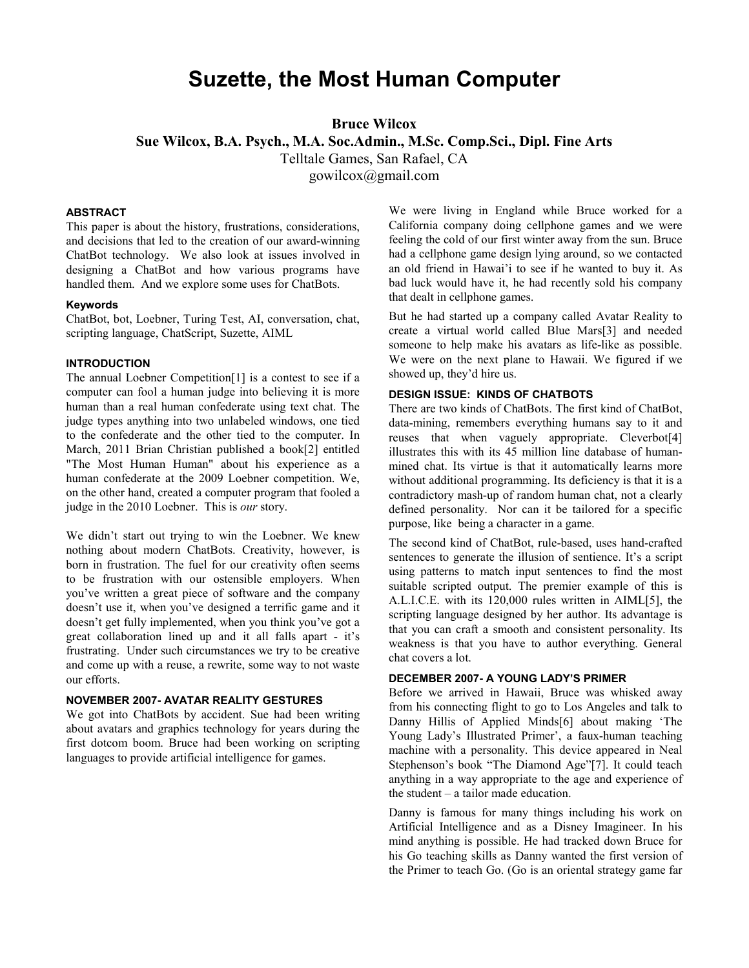# **Suzette, the Most Human Computer**

**Bruce Wilcox** 

**Sue Wilcox, B.A. Psych., M.A. Soc.Admin., M.Sc. Comp.Sci., Dipl. Fine Arts** 

Telltale Games, San Rafael, CA

gowilcox@gmail.com

#### **ABSTRACT**

This paper is about the history, frustrations, considerations, and decisions that led to the creation of our award-winning ChatBot technology. We also look at issues involved in designing a ChatBot and how various programs have handled them. And we explore some uses for ChatBots.

#### **Keywords**

ChatBot, bot, Loebner, Turing Test, AI, conversation, chat, scripting language, ChatScript, Suzette, AIML

## **INTRODUCTION**

The annual Loebner Competition[1] is a contest to see if a computer can fool a human judge into believing it is more human than a real human confederate using text chat. The judge types anything into two unlabeled windows, one tied to the confederate and the other tied to the computer. In March, 2011 Brian Christian published a book[2] entitled "The Most Human Human" about his experience as a human confederate at the 2009 Loebner competition. We, on the other hand, created a computer program that fooled a judge in the 2010 Loebner. This is *our* story.

We didn't start out trying to win the Loebner. We knew nothing about modern ChatBots. Creativity, however, is born in frustration. The fuel for our creativity often seems to be frustration with our ostensible employers. When you've written a great piece of software and the company doesn't use it, when you've designed a terrific game and it doesn't get fully implemented, when you think you've got a great collaboration lined up and it all falls apart - it's frustrating. Under such circumstances we try to be creative and come up with a reuse, a rewrite, some way to not waste our efforts.

## **NOVEMBER 2007- AVATAR REALITY GESTURES**

We got into ChatBots by accident. Sue had been writing about avatars and graphics technology for years during the first dotcom boom. Bruce had been working on scripting languages to provide artificial intelligence for games.

We were living in England while Bruce worked for a California company doing cellphone games and we were feeling the cold of our first winter away from the sun. Bruce had a cellphone game design lying around, so we contacted an old friend in Hawai'i to see if he wanted to buy it. As bad luck would have it, he had recently sold his company that dealt in cellphone games.

But he had started up a company called Avatar Reality to create a virtual world called Blue Mars[3] and needed someone to help make his avatars as life-like as possible. We were on the next plane to Hawaii. We figured if we showed up, they'd hire us.

#### **DESIGN ISSUE: KINDS OF CHATBOTS**

There are two kinds of ChatBots. The first kind of ChatBot, data-mining, remembers everything humans say to it and reuses that when vaguely appropriate. Cleverbot[4] illustrates this with its 45 million line database of humanmined chat. Its virtue is that it automatically learns more without additional programming. Its deficiency is that it is a contradictory mash-up of random human chat, not a clearly defined personality. Nor can it be tailored for a specific purpose, like being a character in a game.

The second kind of ChatBot, rule-based, uses hand-crafted sentences to generate the illusion of sentience. It's a script using patterns to match input sentences to find the most suitable scripted output. The premier example of this is A.L.I.C.E. with its 120,000 rules written in AIML[5], the scripting language designed by her author. Its advantage is that you can craft a smooth and consistent personality. Its weakness is that you have to author everything. General chat covers a lot.

# **DECEMBER 2007- A YOUNG LADY'S PRIMER**

Before we arrived in Hawaii, Bruce was whisked away from his connecting flight to go to Los Angeles and talk to Danny Hillis of Applied Minds[6] about making 'The Young Lady's Illustrated Primer', a faux-human teaching machine with a personality. This device appeared in Neal Stephenson's book "The Diamond Age"[7]. It could teach anything in a way appropriate to the age and experience of the student – a tailor made education.

Danny is famous for many things including his work on Artificial Intelligence and as a Disney Imagineer. In his mind anything is possible. He had tracked down Bruce for his Go teaching skills as Danny wanted the first version of the Primer to teach Go. (Go is an oriental strategy game far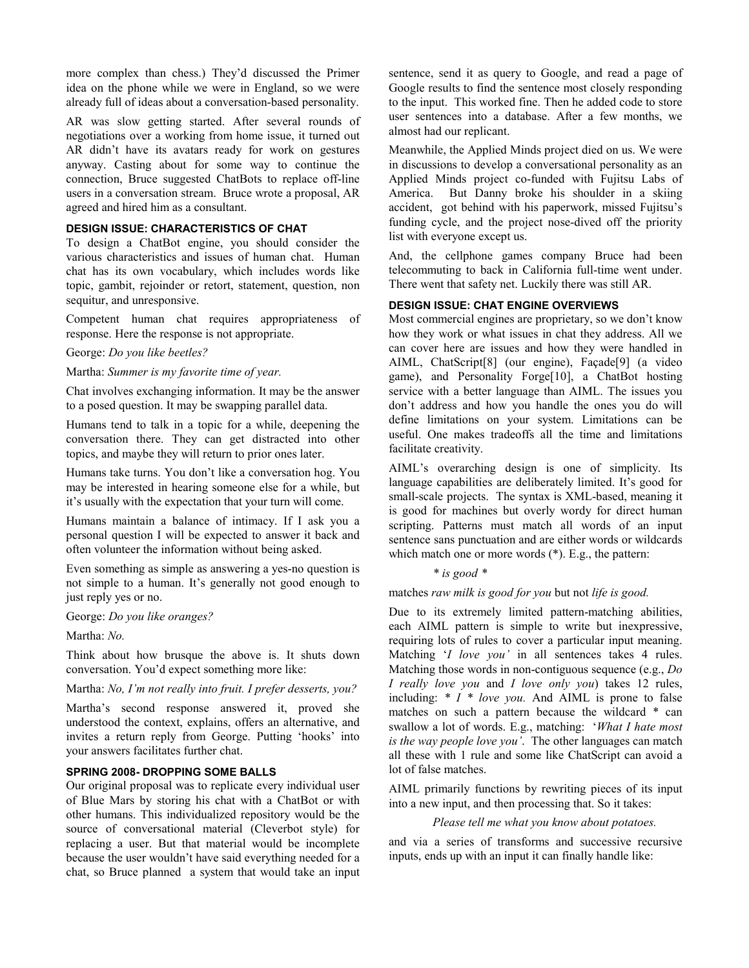more complex than chess.) They'd discussed the Primer idea on the phone while we were in England, so we were already full of ideas about a conversation-based personality.

AR was slow getting started. After several rounds of negotiations over a working from home issue, it turned out AR didn't have its avatars ready for work on gestures anyway. Casting about for some way to continue the connection, Bruce suggested ChatBots to replace off-line users in a conversation stream. Bruce wrote a proposal, AR agreed and hired him as a consultant.

# **DESIGN ISSUE: CHARACTERISTICS OF CHAT**

To design a ChatBot engine, you should consider the various characteristics and issues of human chat. Human chat has its own vocabulary, which includes words like topic, gambit, rejoinder or retort, statement, question, non sequitur, and unresponsive.

Competent human chat requires appropriateness of response. Here the response is not appropriate.

## George: *Do you like beetles?*

## Martha: *Summer is my favorite time of year.*

Chat involves exchanging information. It may be the answer to a posed question. It may be swapping parallel data.

Humans tend to talk in a topic for a while, deepening the conversation there. They can get distracted into other topics, and maybe they will return to prior ones later.

Humans take turns. You don't like a conversation hog. You may be interested in hearing someone else for a while, but it's usually with the expectation that your turn will come.

Humans maintain a balance of intimacy. If I ask you a personal question I will be expected to answer it back and often volunteer the information without being asked.

Even something as simple as answering a yes-no question is not simple to a human. It's generally not good enough to just reply yes or no.

George: *Do you like oranges?*

Martha: *No.*

Think about how brusque the above is. It shuts down conversation. You'd expect something more like:

Martha: *No, I'm not really into fruit. I prefer desserts, you?*

Martha's second response answered it, proved she understood the context, explains, offers an alternative, and invites a return reply from George. Putting 'hooks' into your answers facilitates further chat.

### **SPRING 2008- DROPPING SOME BALLS**

Our original proposal was to replicate every individual user of Blue Mars by storing his chat with a ChatBot or with other humans. This individualized repository would be the source of conversational material (Cleverbot style) for replacing a user. But that material would be incomplete because the user wouldn't have said everything needed for a chat, so Bruce planned a system that would take an input sentence, send it as query to Google, and read a page of Google results to find the sentence most closely responding to the input. This worked fine. Then he added code to store user sentences into a database. After a few months, we almost had our replicant.

Meanwhile, the Applied Minds project died on us. We were in discussions to develop a conversational personality as an Applied Minds project co-funded with Fujitsu Labs of America. But Danny broke his shoulder in a skiing accident, got behind with his paperwork, missed Fujitsu's funding cycle, and the project nose-dived off the priority list with everyone except us.

And, the cellphone games company Bruce had been telecommuting to back in California full-time went under. There went that safety net. Luckily there was still AR.

## **DESIGN ISSUE: CHAT ENGINE OVERVIEWS**

Most commercial engines are proprietary, so we don't know how they work or what issues in chat they address. All we can cover here are issues and how they were handled in AIML, ChatScript[8] (our engine), Façade[9] (a video game), and Personality Forge[10], a ChatBot hosting service with a better language than AIML. The issues you don't address and how you handle the ones you do will define limitations on your system. Limitations can be useful. One makes tradeoffs all the time and limitations facilitate creativity.

AIML's overarching design is one of simplicity. Its language capabilities are deliberately limited. It's good for small-scale projects. The syntax is XML-based, meaning it is good for machines but overly wordy for direct human scripting. Patterns must match all words of an input sentence sans punctuation and are either words or wildcards which match one or more words (\*). E.g., the pattern:

#### *\* is good \**

matches *raw milk is good for you* but not *life is good.* 

Due to its extremely limited pattern-matching abilities, each AIML pattern is simple to write but inexpressive, requiring lots of rules to cover a particular input meaning. Matching '*I love you'* in all sentences takes 4 rules. Matching those words in non-contiguous sequence (e.g., *Do I really love you* and *I love only you*) takes 12 rules, including: *\* I \* love you.* And AIML is prone to false matches on such a pattern because the wildcard \* can swallow a lot of words. E.g., matching: '*What I hate most is the way people love you'*. The other languages can match all these with 1 rule and some like ChatScript can avoid a lot of false matches.

AIML primarily functions by rewriting pieces of its input into a new input, and then processing that. So it takes:

#### *Please tell me what you know about potatoes.*

and via a series of transforms and successive recursive inputs, ends up with an input it can finally handle like: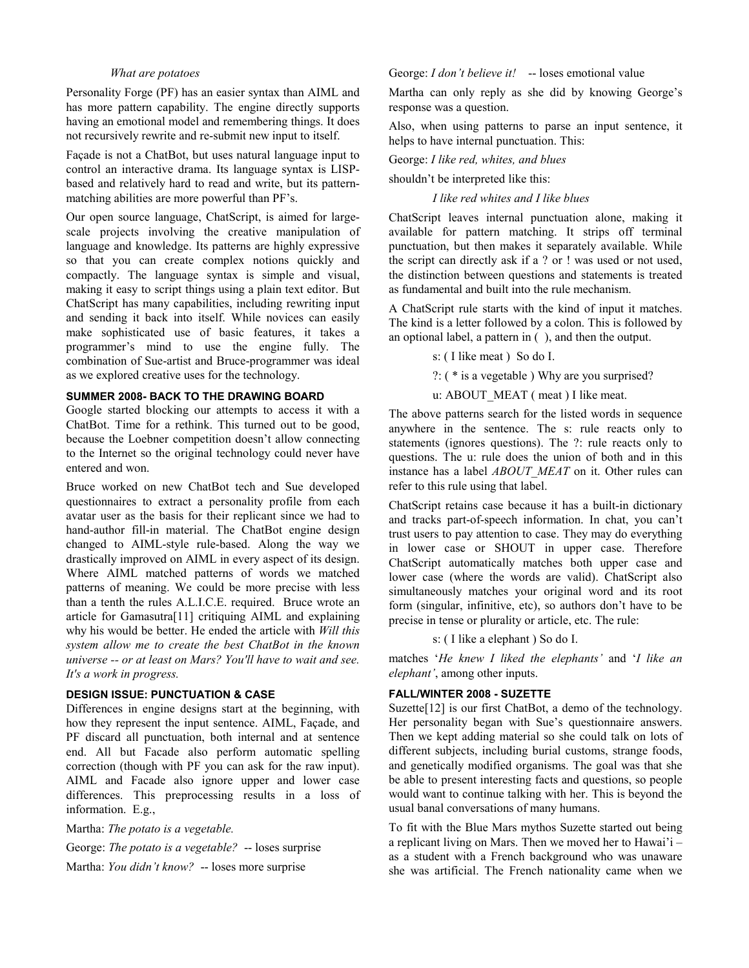#### *What are potatoes*

Personality Forge (PF) has an easier syntax than AIML and has more pattern capability. The engine directly supports having an emotional model and remembering things. It does not recursively rewrite and re-submit new input to itself.

Façade is not a ChatBot, but uses natural language input to control an interactive drama. Its language syntax is LISPbased and relatively hard to read and write, but its patternmatching abilities are more powerful than PF's.

Our open source language, ChatScript, is aimed for largescale projects involving the creative manipulation of language and knowledge. Its patterns are highly expressive so that you can create complex notions quickly and compactly. The language syntax is simple and visual, making it easy to script things using a plain text editor. But ChatScript has many capabilities, including rewriting input and sending it back into itself. While novices can easily make sophisticated use of basic features, it takes a programmer's mind to use the engine fully. The combination of Sue-artist and Bruce-programmer was ideal as we explored creative uses for the technology.

# **SUMMER 2008- BACK TO THE DRAWING BOARD**

Google started blocking our attempts to access it with a ChatBot. Time for a rethink. This turned out to be good, because the Loebner competition doesn't allow connecting to the Internet so the original technology could never have entered and won.

Bruce worked on new ChatBot tech and Sue developed questionnaires to extract a personality profile from each avatar user as the basis for their replicant since we had to hand-author fill-in material. The ChatBot engine design changed to AIML-style rule-based. Along the way we drastically improved on AIML in every aspect of its design. Where AIML matched patterns of words we matched patterns of meaning. We could be more precise with less than a tenth the rules A.L.I.C.E. required. Bruce wrote an article for Gamasutra[11] critiquing AIML and explaining why his would be better. He ended the article with *Will this system allow me to create the best ChatBot in the known universe -- or at least on Mars? You'll have to wait and see. It's a work in progress.*

#### **DESIGN ISSUE: PUNCTUATION & CASE**

Differences in engine designs start at the beginning, with how they represent the input sentence. AIML, Façade, and PF discard all punctuation, both internal and at sentence end. All but Facade also perform automatic spelling correction (though with PF you can ask for the raw input). AIML and Facade also ignore upper and lower case differences. This preprocessing results in a loss of information. E.g.,

Martha: *The potato is a vegetable.*

George: *The potato is a vegetable?* -- loses surprise Martha: *You didn't know?* -- loses more surprise

George: *I don't believe it!* -- loses emotional value

Martha can only reply as she did by knowing George's response was a question.

Also, when using patterns to parse an input sentence, it helps to have internal punctuation. This:

George: *I like red, whites, and blues* 

shouldn't be interpreted like this:

*I like red whites and I like blues* 

ChatScript leaves internal punctuation alone, making it available for pattern matching. It strips off terminal punctuation, but then makes it separately available. While the script can directly ask if a ? or ! was used or not used, the distinction between questions and statements is treated as fundamental and built into the rule mechanism.

A ChatScript rule starts with the kind of input it matches. The kind is a letter followed by a colon. This is followed by an optional label, a pattern in ( ), and then the output.

s: ( I like meat ) So do I.

?: ( \* is a vegetable ) Why are you surprised?

u: ABOUT\_MEAT ( meat ) I like meat.

The above patterns search for the listed words in sequence anywhere in the sentence. The s: rule reacts only to statements (ignores questions). The ?: rule reacts only to questions. The u: rule does the union of both and in this instance has a label *ABOUT\_MEAT* on it. Other rules can refer to this rule using that label.

ChatScript retains case because it has a built-in dictionary and tracks part-of-speech information. In chat, you can't trust users to pay attention to case. They may do everything in lower case or SHOUT in upper case. Therefore ChatScript automatically matches both upper case and lower case (where the words are valid). ChatScript also simultaneously matches your original word and its root form (singular, infinitive, etc), so authors don't have to be precise in tense or plurality or article, etc. The rule:

s: ( I like a elephant ) So do I.

matches '*He knew I liked the elephants'* and '*I like an elephant'*, among other inputs.

## **FALL/WINTER 2008 - SUZETTE**

Suzette<sup>[12]</sup> is our first ChatBot, a demo of the technology. Her personality began with Sue's questionnaire answers. Then we kept adding material so she could talk on lots of different subjects, including burial customs, strange foods, and genetically modified organisms. The goal was that she be able to present interesting facts and questions, so people would want to continue talking with her. This is beyond the usual banal conversations of many humans.

To fit with the Blue Mars mythos Suzette started out being a replicant living on Mars. Then we moved her to Hawai'i – as a student with a French background who was unaware she was artificial. The French nationality came when we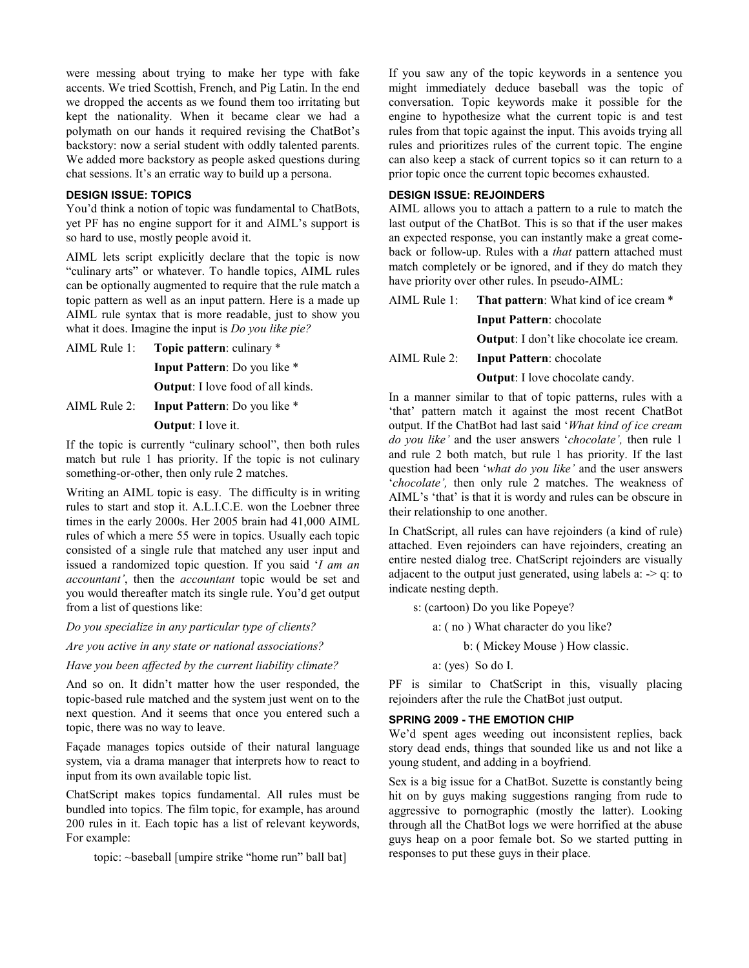were messing about trying to make her type with fake accents. We tried Scottish, French, and Pig Latin. In the end we dropped the accents as we found them too irritating but kept the nationality. When it became clear we had a polymath on our hands it required revising the ChatBot's backstory: now a serial student with oddly talented parents. We added more backstory as people asked questions during chat sessions. It's an erratic way to build up a persona.

# **DESIGN ISSUE: TOPICS**

You'd think a notion of topic was fundamental to ChatBots, yet PF has no engine support for it and AIML's support is so hard to use, mostly people avoid it.

AIML lets script explicitly declare that the topic is now "culinary arts" or whatever. To handle topics, AIML rules can be optionally augmented to require that the rule match a topic pattern as well as an input pattern. Here is a made up AIML rule syntax that is more readable, just to show you what it does. Imagine the input is *Do you like pie?*

AIML Rule 1: **Topic pattern**: culinary \*

**Input Pattern**: Do you like \*

**Output**: I love food of all kinds.

AIML Rule 2: **Input Pattern**: Do you like \*

#### **Output**: I love it.

If the topic is currently "culinary school", then both rules match but rule 1 has priority. If the topic is not culinary something-or-other, then only rule 2 matches.

Writing an AIML topic is easy. The difficulty is in writing rules to start and stop it. A.L.I.C.E. won the Loebner three times in the early 2000s. Her 2005 brain had 41,000 AIML rules of which a mere 55 were in topics. Usually each topic consisted of a single rule that matched any user input and issued a randomized topic question. If you said '*I am an accountant'*, then the *accountant* topic would be set and you would thereafter match its single rule. You'd get output from a list of questions like:

*Do you specialize in any particular type of clients?* 

*Are you active in any state or national associations?* 

*Have you been affected by the current liability climate?* 

And so on. It didn't matter how the user responded, the topic-based rule matched and the system just went on to the next question. And it seems that once you entered such a topic, there was no way to leave.

Façade manages topics outside of their natural language system, via a drama manager that interprets how to react to input from its own available topic list.

ChatScript makes topics fundamental. All rules must be bundled into topics. The film topic, for example, has around 200 rules in it. Each topic has a list of relevant keywords, For example:

topic: ~baseball [umpire strike "home run" ball bat]

If you saw any of the topic keywords in a sentence you might immediately deduce baseball was the topic of conversation. Topic keywords make it possible for the engine to hypothesize what the current topic is and test rules from that topic against the input. This avoids trying all rules and prioritizes rules of the current topic. The engine can also keep a stack of current topics so it can return to a prior topic once the current topic becomes exhausted.

# **DESIGN ISSUE: REJOINDERS**

AIML allows you to attach a pattern to a rule to match the last output of the ChatBot. This is so that if the user makes an expected response, you can instantly make a great comeback or follow-up. Rules with a *that* pattern attached must match completely or be ignored, and if they do match they have priority over other rules. In pseudo-AIML:

AIML Rule 1: **That pattern**: What kind of ice cream \* **Input Pattern**: chocolate **Output**: I don't like chocolate ice cream. AIML Rule 2: **Input Pattern**: chocolate

**Output**: I love chocolate candy.

In a manner similar to that of topic patterns, rules with a 'that' pattern match it against the most recent ChatBot output. If the ChatBot had last said '*What kind of ice cream do you like'* and the user answers '*chocolate',* then rule 1 and rule 2 both match, but rule 1 has priority. If the last question had been '*what do you like'* and the user answers '*chocolate',* then only rule 2 matches. The weakness of AIML's 'that' is that it is wordy and rules can be obscure in their relationship to one another.

In ChatScript, all rules can have rejoinders (a kind of rule) attached. Even rejoinders can have rejoinders, creating an entire nested dialog tree. ChatScript rejoinders are visually adjacent to the output just generated, using labels a:  $> q$ : to indicate nesting depth.

s: (cartoon) Do you like Popeye?

a: ( no ) What character do you like?

b: ( Mickey Mouse ) How classic.

a: (yes) So do I.

PF is similar to ChatScript in this, visually placing rejoinders after the rule the ChatBot just output.

## **SPRING 2009 - THE EMOTION CHIP**

We'd spent ages weeding out inconsistent replies, back story dead ends, things that sounded like us and not like a young student, and adding in a boyfriend.

Sex is a big issue for a ChatBot. Suzette is constantly being hit on by guys making suggestions ranging from rude to aggressive to pornographic (mostly the latter). Looking through all the ChatBot logs we were horrified at the abuse guys heap on a poor female bot. So we started putting in responses to put these guys in their place.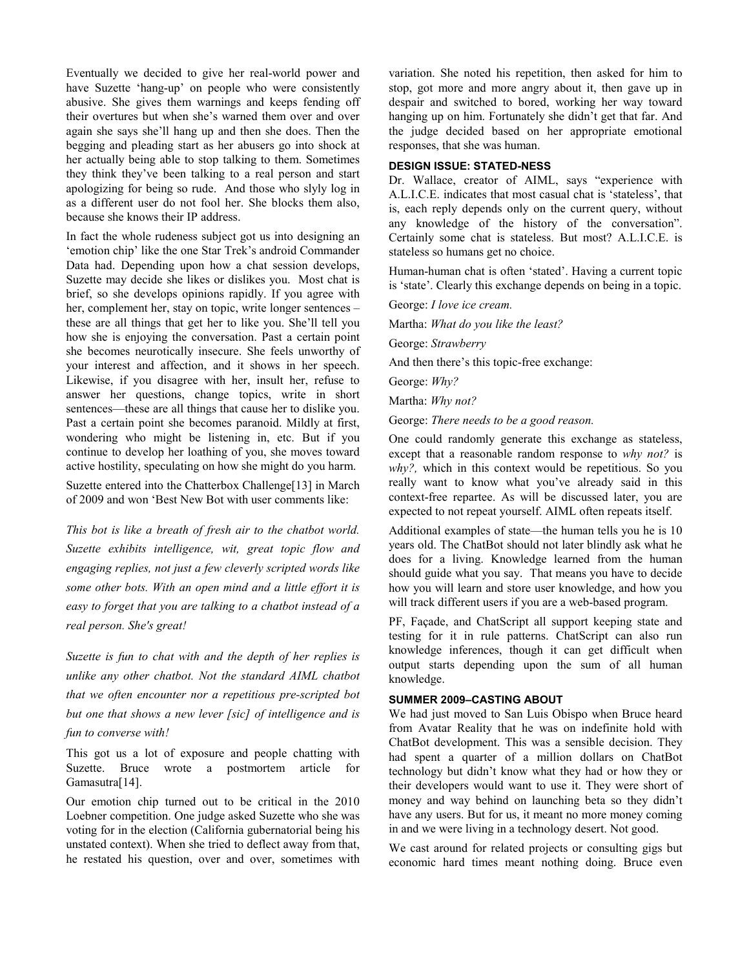Eventually we decided to give her real-world power and have Suzette 'hang-up' on people who were consistently abusive. She gives them warnings and keeps fending off their overtures but when she's warned them over and over again she says she'll hang up and then she does. Then the begging and pleading start as her abusers go into shock at her actually being able to stop talking to them. Sometimes they think they've been talking to a real person and start apologizing for being so rude. And those who slyly log in as a different user do not fool her. She blocks them also, because she knows their IP address.

In fact the whole rudeness subject got us into designing an 'emotion chip' like the one Star Trek's android Commander Data had. Depending upon how a chat session develops, Suzette may decide she likes or dislikes you. Most chat is brief, so she develops opinions rapidly. If you agree with her, complement her, stay on topic, write longer sentences – these are all things that get her to like you. She'll tell you how she is enjoying the conversation. Past a certain point she becomes neurotically insecure. She feels unworthy of your interest and affection, and it shows in her speech. Likewise, if you disagree with her, insult her, refuse to answer her questions, change topics, write in short sentences—these are all things that cause her to dislike you. Past a certain point she becomes paranoid. Mildly at first, wondering who might be listening in, etc. But if you continue to develop her loathing of you, she moves toward active hostility, speculating on how she might do you harm.

Suzette entered into the Chatterbox Challenge[13] in March of 2009 and won 'Best New Bot with user comments like:

*This bot is like a breath of fresh air to the chatbot world. Suzette exhibits intelligence, wit, great topic flow and engaging replies, not just a few cleverly scripted words like some other bots. With an open mind and a little effort it is easy to forget that you are talking to a chatbot instead of a real person. She's great!*

*Suzette is fun to chat with and the depth of her replies is unlike any other chatbot. Not the standard AIML chatbot that we often encounter nor a repetitious pre-scripted bot but one that shows a new lever [sic] of intelligence and is fun to converse with!*

This got us a lot of exposure and people chatting with Suzette. Bruce wrote a postmortem article for Gamasutra[14].

Our emotion chip turned out to be critical in the 2010 Loebner competition. One judge asked Suzette who she was voting for in the election (California gubernatorial being his unstated context). When she tried to deflect away from that, he restated his question, over and over, sometimes with

variation. She noted his repetition, then asked for him to stop, got more and more angry about it, then gave up in despair and switched to bored, working her way toward hanging up on him. Fortunately she didn't get that far. And the judge decided based on her appropriate emotional responses, that she was human.

## **DESIGN ISSUE: STATED-NESS**

Dr. Wallace, creator of AIML, says "experience with A.L.I.C.E. indicates that most casual chat is 'stateless', that is, each reply depends only on the current query, without any knowledge of the history of the conversation". Certainly some chat is stateless. But most? A.L.I.C.E. is stateless so humans get no choice.

Human-human chat is often 'stated'. Having a current topic is 'state'. Clearly this exchange depends on being in a topic.

George: *I love ice cream.* 

Martha: *What do you like the least?*

George: *Strawberry* 

And then there's this topic-free exchange:

George: *Why?*

Martha: *Why not?*

George: *There needs to be a good reason.* 

One could randomly generate this exchange as stateless, except that a reasonable random response to *why not?* is *why?,* which in this context would be repetitious. So you really want to know what you've already said in this context-free repartee. As will be discussed later, you are expected to not repeat yourself. AIML often repeats itself.

Additional examples of state—the human tells you he is 10 years old. The ChatBot should not later blindly ask what he does for a living. Knowledge learned from the human should guide what you say. That means you have to decide how you will learn and store user knowledge, and how you will track different users if you are a web-based program.

PF, Façade, and ChatScript all support keeping state and testing for it in rule patterns. ChatScript can also run knowledge inferences, though it can get difficult when output starts depending upon the sum of all human knowledge.

#### **SUMMER 2009–CASTING ABOUT**

We had just moved to San Luis Obispo when Bruce heard from Avatar Reality that he was on indefinite hold with ChatBot development. This was a sensible decision. They had spent a quarter of a million dollars on ChatBot technology but didn't know what they had or how they or their developers would want to use it. They were short of money and way behind on launching beta so they didn't have any users. But for us, it meant no more money coming in and we were living in a technology desert. Not good.

We cast around for related projects or consulting gigs but economic hard times meant nothing doing. Bruce even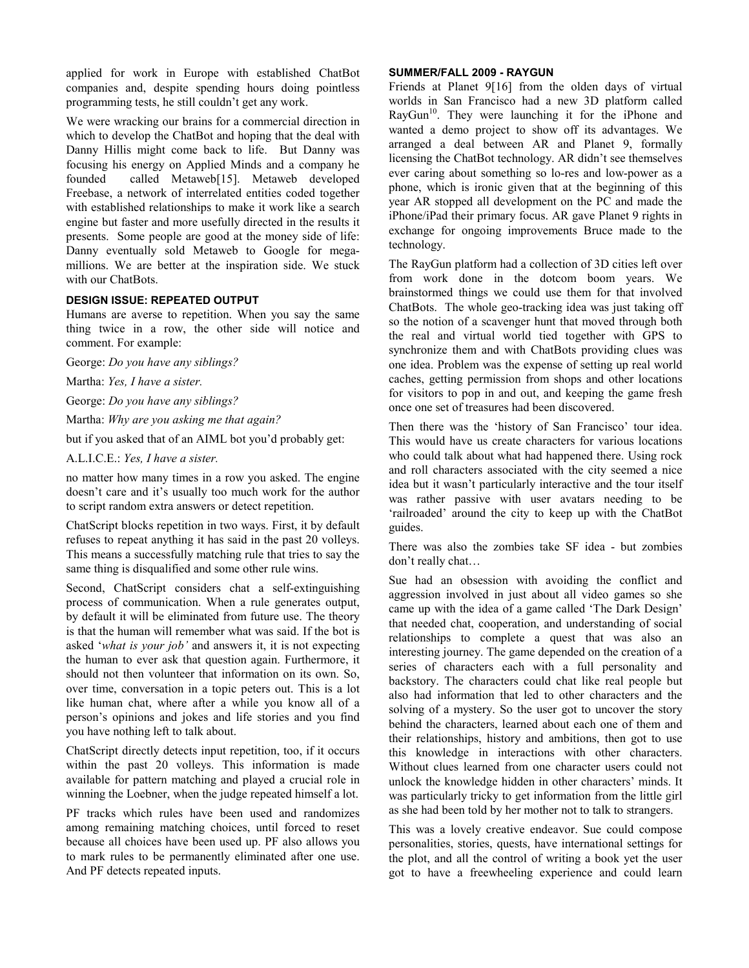applied for work in Europe with established ChatBot companies and, despite spending hours doing pointless programming tests, he still couldn't get any work.

We were wracking our brains for a commercial direction in which to develop the ChatBot and hoping that the deal with Danny Hillis might come back to life. But Danny was focusing his energy on Applied Minds and a company he founded called Metaweb[15]. Metaweb developed Freebase, a network of interrelated entities coded together with established relationships to make it work like a search engine but faster and more usefully directed in the results it presents. Some people are good at the money side of life: Danny eventually sold Metaweb to Google for megamillions. We are better at the inspiration side. We stuck with our ChatBots.

#### **DESIGN ISSUE: REPEATED OUTPUT**

Humans are averse to repetition. When you say the same thing twice in a row, the other side will notice and comment. For example:

George: *Do you have any siblings?* 

Martha: *Yes, I have a sister.* 

George: *Do you have any siblings?* 

Martha: *Why are you asking me that again?* 

but if you asked that of an AIML bot you'd probably get:

A.L.I.C.E.: *Yes, I have a sister.* 

no matter how many times in a row you asked. The engine doesn't care and it's usually too much work for the author to script random extra answers or detect repetition.

ChatScript blocks repetition in two ways. First, it by default refuses to repeat anything it has said in the past 20 volleys. This means a successfully matching rule that tries to say the same thing is disqualified and some other rule wins.

Second, ChatScript considers chat a self-extinguishing process of communication. When a rule generates output, by default it will be eliminated from future use. The theory is that the human will remember what was said. If the bot is asked '*what is your job'* and answers it, it is not expecting the human to ever ask that question again. Furthermore, it should not then volunteer that information on its own. So, over time, conversation in a topic peters out. This is a lot like human chat, where after a while you know all of a person's opinions and jokes and life stories and you find you have nothing left to talk about.

ChatScript directly detects input repetition, too, if it occurs within the past 20 volleys. This information is made available for pattern matching and played a crucial role in winning the Loebner, when the judge repeated himself a lot.

PF tracks which rules have been used and randomizes among remaining matching choices, until forced to reset because all choices have been used up. PF also allows you to mark rules to be permanently eliminated after one use. And PF detects repeated inputs.

#### **SUMMER/FALL 2009 - RAYGUN**

Friends at Planet 9[16] from the olden days of virtual worlds in San Francisco had a new 3D platform called  $RayGun<sup>10</sup>$ . They were launching it for the iPhone and wanted a demo project to show off its advantages. We arranged a deal between AR and Planet 9, formally licensing the ChatBot technology. AR didn't see themselves ever caring about something so lo-res and low-power as a phone, which is ironic given that at the beginning of this year AR stopped all development on the PC and made the iPhone/iPad their primary focus. AR gave Planet 9 rights in exchange for ongoing improvements Bruce made to the technology.

The RayGun platform had a collection of 3D cities left over from work done in the dotcom boom years. We brainstormed things we could use them for that involved ChatBots. The whole geo-tracking idea was just taking off so the notion of a scavenger hunt that moved through both the real and virtual world tied together with GPS to synchronize them and with ChatBots providing clues was one idea. Problem was the expense of setting up real world caches, getting permission from shops and other locations for visitors to pop in and out, and keeping the game fresh once one set of treasures had been discovered.

Then there was the 'history of San Francisco' tour idea. This would have us create characters for various locations who could talk about what had happened there. Using rock and roll characters associated with the city seemed a nice idea but it wasn't particularly interactive and the tour itself was rather passive with user avatars needing to be 'railroaded' around the city to keep up with the ChatBot guides.

There was also the zombies take SF idea - but zombies don't really chat…

Sue had an obsession with avoiding the conflict and aggression involved in just about all video games so she came up with the idea of a game called 'The Dark Design' that needed chat, cooperation, and understanding of social relationships to complete a quest that was also an interesting journey. The game depended on the creation of a series of characters each with a full personality and backstory. The characters could chat like real people but also had information that led to other characters and the solving of a mystery. So the user got to uncover the story behind the characters, learned about each one of them and their relationships, history and ambitions, then got to use this knowledge in interactions with other characters. Without clues learned from one character users could not unlock the knowledge hidden in other characters' minds. It was particularly tricky to get information from the little girl as she had been told by her mother not to talk to strangers.

This was a lovely creative endeavor. Sue could compose personalities, stories, quests, have international settings for the plot, and all the control of writing a book yet the user got to have a freewheeling experience and could learn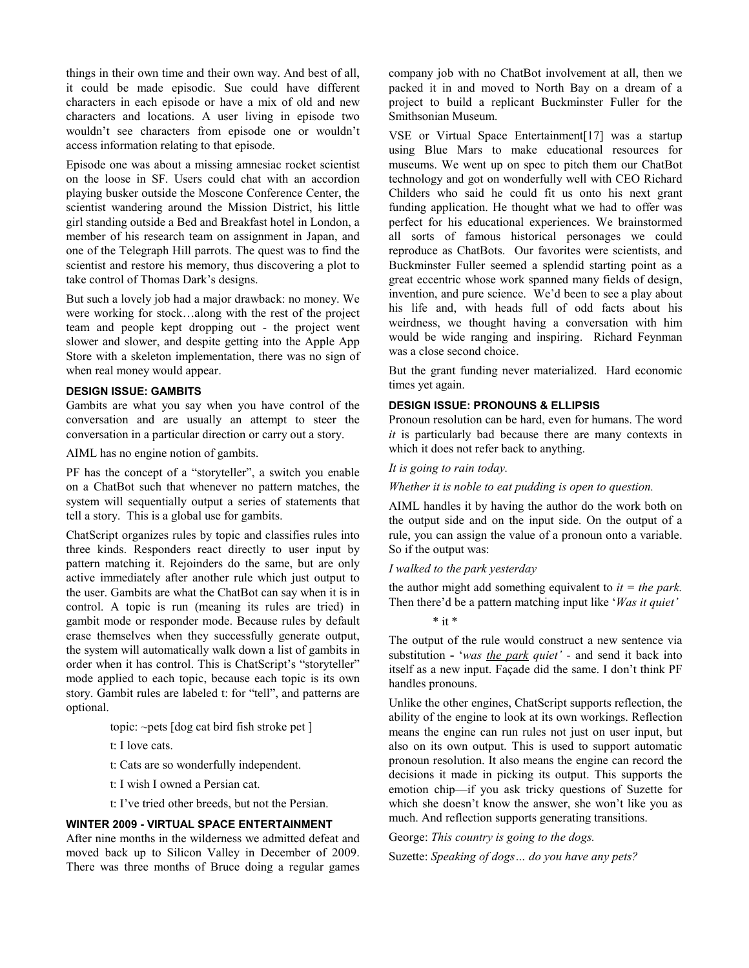things in their own time and their own way. And best of all, it could be made episodic. Sue could have different characters in each episode or have a mix of old and new characters and locations. A user living in episode two wouldn't see characters from episode one or wouldn't access information relating to that episode.

Episode one was about a missing amnesiac rocket scientist on the loose in SF. Users could chat with an accordion playing busker outside the Moscone Conference Center, the scientist wandering around the Mission District, his little girl standing outside a Bed and Breakfast hotel in London, a member of his research team on assignment in Japan, and one of the Telegraph Hill parrots. The quest was to find the scientist and restore his memory, thus discovering a plot to take control of Thomas Dark's designs.

But such a lovely job had a major drawback: no money. We were working for stock…along with the rest of the project team and people kept dropping out - the project went slower and slower, and despite getting into the Apple App Store with a skeleton implementation, there was no sign of when real money would appear.

## **DESIGN ISSUE: GAMBITS**

Gambits are what you say when you have control of the conversation and are usually an attempt to steer the conversation in a particular direction or carry out a story.

AIML has no engine notion of gambits.

PF has the concept of a "storyteller", a switch you enable on a ChatBot such that whenever no pattern matches, the system will sequentially output a series of statements that tell a story. This is a global use for gambits.

ChatScript organizes rules by topic and classifies rules into three kinds. Responders react directly to user input by pattern matching it. Rejoinders do the same, but are only active immediately after another rule which just output to the user. Gambits are what the ChatBot can say when it is in control. A topic is run (meaning its rules are tried) in gambit mode or responder mode. Because rules by default erase themselves when they successfully generate output, the system will automatically walk down a list of gambits in order when it has control. This is ChatScript's "storyteller" mode applied to each topic, because each topic is its own story. Gambit rules are labeled t: for "tell", and patterns are optional.

topic: ~pets [dog cat bird fish stroke pet ]

t: I love cats.

t: Cats are so wonderfully independent.

t: I wish I owned a Persian cat.

t: I've tried other breeds, but not the Persian.

#### **WINTER 2009 - VIRTUAL SPACE ENTERTAINMENT**

After nine months in the wilderness we admitted defeat and moved back up to Silicon Valley in December of 2009. There was three months of Bruce doing a regular games company job with no ChatBot involvement at all, then we packed it in and moved to North Bay on a dream of a project to build a replicant Buckminster Fuller for the Smithsonian Museum.

VSE or Virtual Space Entertainment[17] was a startup using Blue Mars to make educational resources for museums. We went up on spec to pitch them our ChatBot technology and got on wonderfully well with CEO Richard Childers who said he could fit us onto his next grant funding application. He thought what we had to offer was perfect for his educational experiences. We brainstormed all sorts of famous historical personages we could reproduce as ChatBots. Our favorites were scientists, and Buckminster Fuller seemed a splendid starting point as a great eccentric whose work spanned many fields of design, invention, and pure science. We'd been to see a play about his life and, with heads full of odd facts about his weirdness, we thought having a conversation with him would be wide ranging and inspiring. Richard Feynman was a close second choice.

But the grant funding never materialized. Hard economic times yet again.

#### **DESIGN ISSUE: PRONOUNS & ELLIPSIS**

Pronoun resolution can be hard, even for humans. The word *it* is particularly bad because there are many contexts in which it does not refer back to anything.

#### *It is going to rain today.*

*Whether it is noble to eat pudding is open to question.* 

AIML handles it by having the author do the work both on the output side and on the input side. On the output of a rule, you can assign the value of a pronoun onto a variable. So if the output was:

#### *I walked to the park yesterday*

the author might add something equivalent to  $it = the park$ . Then there'd be a pattern matching input like '*Was it quiet'* 

 $*$  it  $*$ 

The output of the rule would construct a new sentence via substitution **-** '*was the park quiet' -* and send it back into itself as a new input. Façade did the same. I don't think PF handles pronouns.

Unlike the other engines, ChatScript supports reflection, the ability of the engine to look at its own workings. Reflection means the engine can run rules not just on user input, but also on its own output. This is used to support automatic pronoun resolution. It also means the engine can record the decisions it made in picking its output. This supports the emotion chip—if you ask tricky questions of Suzette for which she doesn't know the answer, she won't like you as much. And reflection supports generating transitions.

George: *This country is going to the dogs.*

Suzette: *Speaking of dogs… do you have any pets?*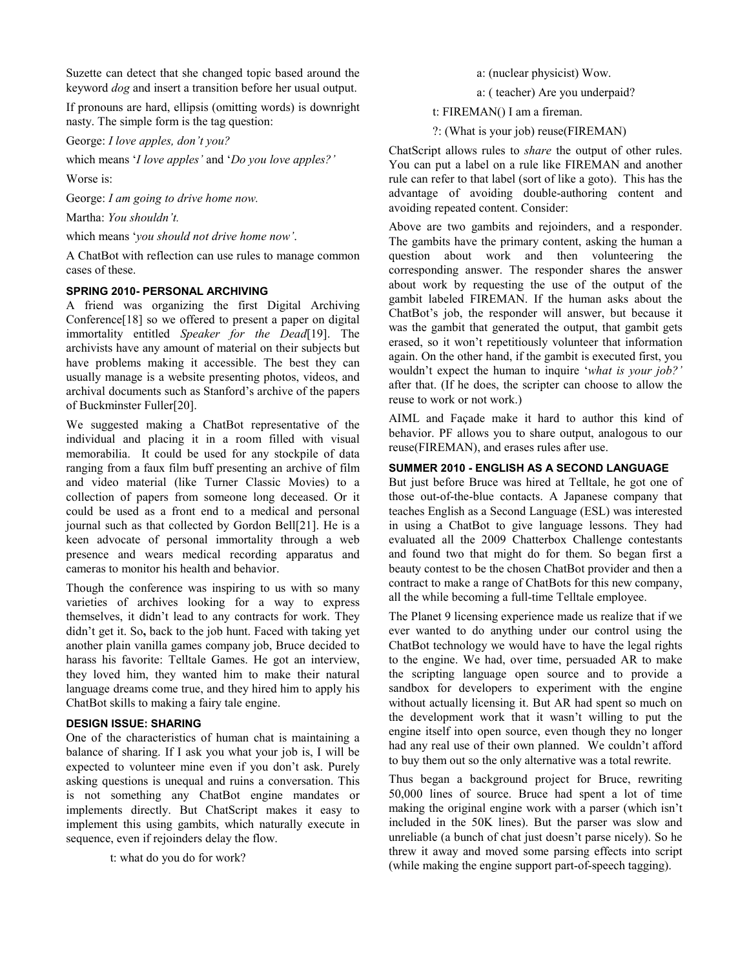Suzette can detect that she changed topic based around the keyword *dog* and insert a transition before her usual output.

If pronouns are hard, ellipsis (omitting words) is downright nasty. The simple form is the tag question:

George: *I love apples, don't you?* 

which means '*I love apples'* and '*Do you love apples?'* 

Worse is:

George: *I am going to drive home now.*

Martha: *You shouldn't.* 

which means '*you should not drive home now'*.

A ChatBot with reflection can use rules to manage common cases of these.

#### **SPRING 2010- PERSONAL ARCHIVING**

A friend was organizing the first Digital Archiving Conference[18] so we offered to present a paper on digital immortality entitled *Speaker for the Dead*[19]. The archivists have any amount of material on their subjects but have problems making it accessible. The best they can usually manage is a website presenting photos, videos, and archival documents such as Stanford's archive of the papers of Buckminster Fuller[20].

We suggested making a ChatBot representative of the individual and placing it in a room filled with visual memorabilia. It could be used for any stockpile of data ranging from a faux film buff presenting an archive of film and video material (like Turner Classic Movies) to a collection of papers from someone long deceased. Or it could be used as a front end to a medical and personal journal such as that collected by Gordon Bell[21]. He is a keen advocate of personal immortality through a web presence and wears medical recording apparatus and cameras to monitor his health and behavior.

Though the conference was inspiring to us with so many varieties of archives looking for a way to express themselves, it didn't lead to any contracts for work. They didn't get it. So**,** back to the job hunt. Faced with taking yet another plain vanilla games company job, Bruce decided to harass his favorite: Telltale Games. He got an interview, they loved him, they wanted him to make their natural language dreams come true, and they hired him to apply his ChatBot skills to making a fairy tale engine.

#### **DESIGN ISSUE: SHARING**

One of the characteristics of human chat is maintaining a balance of sharing. If I ask you what your job is, I will be expected to volunteer mine even if you don't ask. Purely asking questions is unequal and ruins a conversation. This is not something any ChatBot engine mandates or implements directly. But ChatScript makes it easy to implement this using gambits, which naturally execute in sequence, even if rejoinders delay the flow.

t: what do you do for work?

a: (nuclear physicist) Wow.

a: ( teacher) Are you underpaid?

t: FIREMAN() I am a fireman.

?: (What is your job) reuse(FIREMAN)

ChatScript allows rules to *share* the output of other rules. You can put a label on a rule like FIREMAN and another rule can refer to that label (sort of like a goto). This has the advantage of avoiding double-authoring content and avoiding repeated content. Consider:

Above are two gambits and rejoinders, and a responder. The gambits have the primary content, asking the human a question about work and then volunteering the corresponding answer. The responder shares the answer about work by requesting the use of the output of the gambit labeled FIREMAN. If the human asks about the ChatBot's job, the responder will answer, but because it was the gambit that generated the output, that gambit gets erased, so it won't repetitiously volunteer that information again. On the other hand, if the gambit is executed first, you wouldn't expect the human to inquire '*what is your job?'* after that. (If he does, the scripter can choose to allow the reuse to work or not work.)

AIML and Façade make it hard to author this kind of behavior. PF allows you to share output, analogous to our reuse(FIREMAN), and erases rules after use.

## **SUMMER 2010 - ENGLISH AS A SECOND LANGUAGE**

But just before Bruce was hired at Telltale, he got one of those out-of-the-blue contacts. A Japanese company that teaches English as a Second Language (ESL) was interested in using a ChatBot to give language lessons. They had evaluated all the 2009 Chatterbox Challenge contestants and found two that might do for them. So began first a beauty contest to be the chosen ChatBot provider and then a contract to make a range of ChatBots for this new company, all the while becoming a full-time Telltale employee.

The Planet 9 licensing experience made us realize that if we ever wanted to do anything under our control using the ChatBot technology we would have to have the legal rights to the engine. We had, over time, persuaded AR to make the scripting language open source and to provide a sandbox for developers to experiment with the engine without actually licensing it. But AR had spent so much on the development work that it wasn't willing to put the engine itself into open source, even though they no longer had any real use of their own planned. We couldn't afford to buy them out so the only alternative was a total rewrite.

Thus began a background project for Bruce, rewriting 50,000 lines of source. Bruce had spent a lot of time making the original engine work with a parser (which isn't included in the 50K lines). But the parser was slow and unreliable (a bunch of chat just doesn't parse nicely). So he threw it away and moved some parsing effects into script (while making the engine support part-of-speech tagging).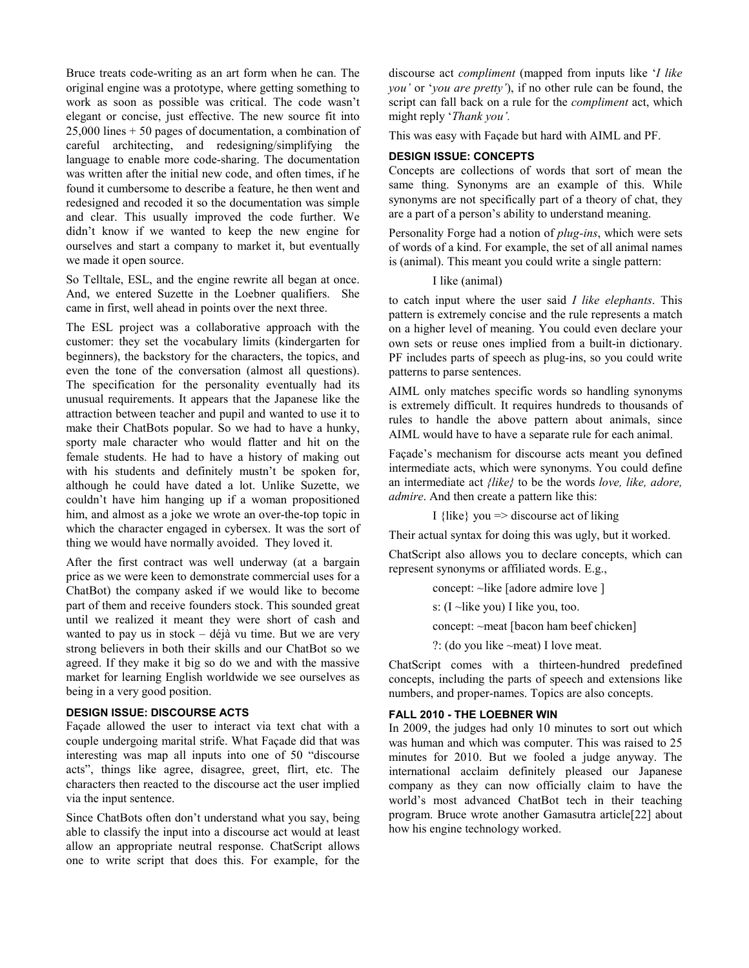Bruce treats code-writing as an art form when he can. The original engine was a prototype, where getting something to work as soon as possible was critical. The code wasn't elegant or concise, just effective. The new source fit into 25,000 lines + 50 pages of documentation, a combination of careful architecting, and redesigning/simplifying the language to enable more code-sharing. The documentation was written after the initial new code, and often times, if he found it cumbersome to describe a feature, he then went and redesigned and recoded it so the documentation was simple and clear. This usually improved the code further. We didn't know if we wanted to keep the new engine for ourselves and start a company to market it, but eventually we made it open source.

So Telltale, ESL, and the engine rewrite all began at once. And, we entered Suzette in the Loebner qualifiers. She came in first, well ahead in points over the next three.

The ESL project was a collaborative approach with the customer: they set the vocabulary limits (kindergarten for beginners), the backstory for the characters, the topics, and even the tone of the conversation (almost all questions). The specification for the personality eventually had its unusual requirements. It appears that the Japanese like the attraction between teacher and pupil and wanted to use it to make their ChatBots popular. So we had to have a hunky, sporty male character who would flatter and hit on the female students. He had to have a history of making out with his students and definitely mustn't be spoken for, although he could have dated a lot. Unlike Suzette, we couldn't have him hanging up if a woman propositioned him, and almost as a joke we wrote an over-the-top topic in which the character engaged in cybersex. It was the sort of thing we would have normally avoided. They loved it.

After the first contract was well underway (at a bargain price as we were keen to demonstrate commercial uses for a ChatBot) the company asked if we would like to become part of them and receive founders stock. This sounded great until we realized it meant they were short of cash and wanted to pay us in stock – déjà vu time. But we are very strong believers in both their skills and our ChatBot so we agreed. If they make it big so do we and with the massive market for learning English worldwide we see ourselves as being in a very good position.

## **DESIGN ISSUE: DISCOURSE ACTS**

Façade allowed the user to interact via text chat with a couple undergoing marital strife. What Façade did that was interesting was map all inputs into one of 50 "discourse acts", things like agree, disagree, greet, flirt, etc. The characters then reacted to the discourse act the user implied via the input sentence.

Since ChatBots often don't understand what you say, being able to classify the input into a discourse act would at least allow an appropriate neutral response. ChatScript allows one to write script that does this. For example, for the

discourse act *compliment* (mapped from inputs like '*I like you'* or '*you are pretty'*), if no other rule can be found, the script can fall back on a rule for the *compliment* act, which might reply '*Thank you'.* 

This was easy with Façade but hard with AIML and PF.

## **DESIGN ISSUE: CONCEPTS**

Concepts are collections of words that sort of mean the same thing. Synonyms are an example of this. While synonyms are not specifically part of a theory of chat, they are a part of a person's ability to understand meaning.

Personality Forge had a notion of *plug-ins*, which were sets of words of a kind. For example, the set of all animal names is (animal). This meant you could write a single pattern:

## I like (animal)

to catch input where the user said *I like elephants*. This pattern is extremely concise and the rule represents a match on a higher level of meaning. You could even declare your own sets or reuse ones implied from a built-in dictionary. PF includes parts of speech as plug-ins, so you could write patterns to parse sentences.

AIML only matches specific words so handling synonyms is extremely difficult. It requires hundreds to thousands of rules to handle the above pattern about animals, since AIML would have to have a separate rule for each animal.

Façade's mechanism for discourse acts meant you defined intermediate acts, which were synonyms. You could define an intermediate act *{like}* to be the words *love, like, adore, admire*. And then create a pattern like this:

I {like} you  $\Rightarrow$  discourse act of liking

Their actual syntax for doing this was ugly, but it worked.

ChatScript also allows you to declare concepts, which can represent synonyms or affiliated words. E.g.,

> concept: ~like [adore admire love ] s: (I ~like you) I like you, too. concept: ~meat [bacon ham beef chicken]

?: (do you like ~meat) I love meat.

ChatScript comes with a thirteen-hundred predefined concepts, including the parts of speech and extensions like numbers, and proper-names. Topics are also concepts.

## **FALL 2010 - THE LOEBNER WIN**

In 2009, the judges had only 10 minutes to sort out which was human and which was computer. This was raised to 25 minutes for 2010. But we fooled a judge anyway. The international acclaim definitely pleased our Japanese company as they can now officially claim to have the world's most advanced ChatBot tech in their teaching program. Bruce wrote another Gamasutra article[22] about how his engine technology worked.